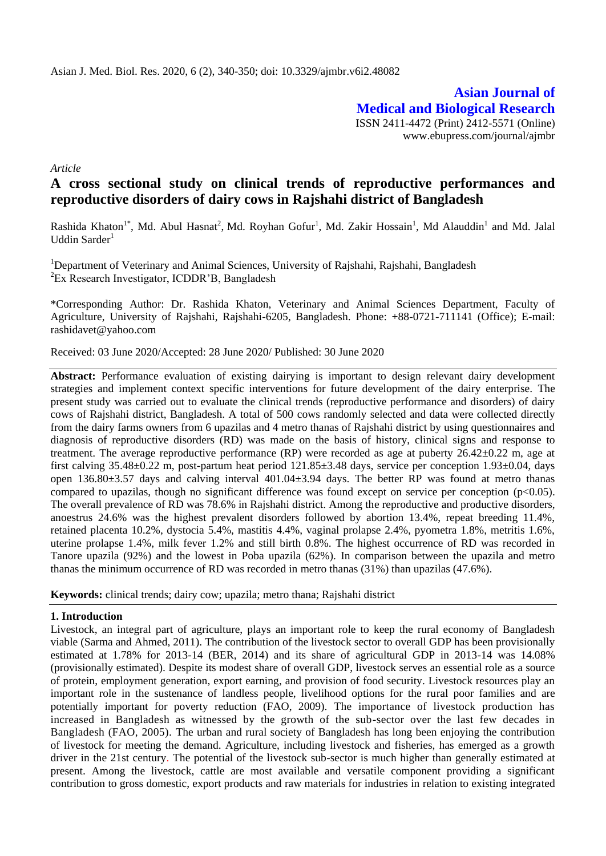**Asian Journal of Medical and Biological Research** ISSN 2411-4472 (Print) 2412-5571 (Online) www.ebupress.com/journal/ajmbr

*Article*

# **A cross sectional study on clinical trends of reproductive performances and reproductive disorders of dairy cows in Rajshahi district of Bangladesh**

Rashida Khaton<sup>1\*</sup>, Md. Abul Hasnat<sup>2</sup>, Md. Royhan Gofur<sup>1</sup>, Md. Zakir Hossain<sup>1</sup>, Md Alauddin<sup>1</sup> and Md. Jalal Uddin Sarder $1$ 

<sup>1</sup>Department of Veterinary and Animal Sciences, University of Rajshahi, Rajshahi, Bangladesh <sup>2</sup>Ex Research Investigator, ICDDR'B, Bangladesh

\*Corresponding Author: Dr. Rashida Khaton, Veterinary and Animal Sciences Department, Faculty of Agriculture, University of Rajshahi, Rajshahi-6205, Bangladesh. Phone: +88-0721-711141 (Office); E-mail: rashidavet@yahoo.com

Received: 03 June 2020/Accepted: 28 June 2020/ Published: 30 June 2020

**Abstract:** Performance evaluation of existing dairying is important to design relevant dairy development strategies and implement context specific interventions for future development of the dairy enterprise. The present study was carried out to evaluate the clinical trends (reproductive performance and disorders) of dairy cows of Rajshahi district, Bangladesh. A total of 500 cows randomly selected and data were collected directly from the dairy farms owners from 6 upazilas and 4 metro thanas of Rajshahi district by using questionnaires and diagnosis of reproductive disorders (RD) was made on the basis of history, clinical signs and response to treatment. The average reproductive performance (RP) were recorded as age at puberty  $26.42 \pm 0.22$  m, age at first calving 35.48±0.22 m, post-partum heat period 121.85±3.48 days, service per conception 1.93±0.04, days open 136.80±3.57 days and calving interval 401.04±3.94 days. The better RP was found at metro thanas compared to upazilas, though no significant difference was found except on service per conception  $(p<0.05)$ . The overall prevalence of RD was 78.6% in Rajshahi district. Among the reproductive and productive disorders, anoestrus 24.6% was the highest prevalent disorders followed by abortion 13.4%, repeat breeding 11.4%, retained placenta 10.2%, dystocia 5.4%, mastitis 4.4%, vaginal prolapse 2.4%, pyometra 1.8%, metritis 1.6%, uterine prolapse 1.4%, milk fever 1.2% and still birth 0.8%. The highest occurrence of RD was recorded in Tanore upazila (92%) and the lowest in Poba upazila (62%). In comparison between the upazila and metro thanas the minimum occurrence of RD was recorded in metro thanas (31%) than upazilas (47.6%).

**Keywords:** clinical trends; dairy cow; upazila; metro thana; Rajshahi district

# **1. Introduction**

Livestock, an integral part of agriculture, plays an important role to keep the rural economy of Bangladesh viable (Sarma and Ahmed, 2011). The contribution of the livestock sector to overall GDP has been provisionally estimated at 1.78% for 2013-14 (BER, 2014) and its share of agricultural GDP in 2013-14 was 14.08% (provisionally estimated). Despite its modest share of overall GDP, livestock serves an essential role as a source of protein, employment generation, export earning, and provision of food security. Livestock resources play an important role in the sustenance of landless people, livelihood options for the rural poor families and are potentially important for poverty reduction (FAO, 2009). The importance of livestock production has increased in Bangladesh as witnessed by the growth of the sub-sector over the last few decades in Bangladesh (FAO, 2005). The urban and rural society of Bangladesh has long been enjoying the contribution of livestock for meeting the demand. Agriculture, including livestock and fisheries, has emerged as a growth driver in the 21st century. The potential of the livestock sub-sector is much higher than generally estimated at present. Among the livestock, cattle are most available and versatile component providing a significant contribution to gross domestic, export products and raw materials for industries in relation to existing integrated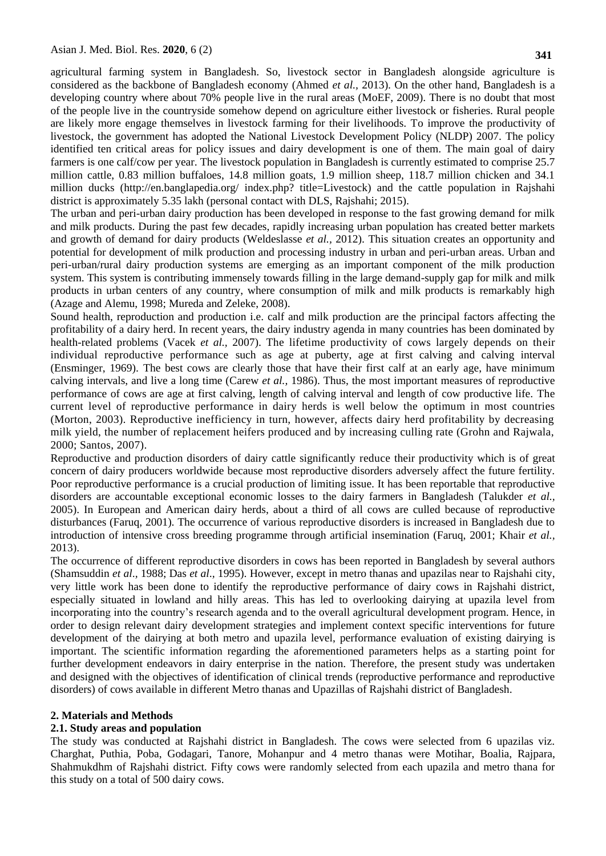agricultural farming system in Bangladesh. So, livestock sector in Bangladesh alongside agriculture is considered as the backbone of Bangladesh economy (Ahmed *et al.,* 2013). On the other hand, Bangladesh is a developing country where about 70% people live in the rural areas (MoEF, 2009). There is no doubt that most of the people live in the countryside somehow depend on agriculture either livestock or fisheries. Rural people are likely more engage themselves in livestock farming for their livelihoods. To improve the productivity of livestock, the government has adopted the National Livestock Development Policy (NLDP) 2007. The policy identified ten critical areas for policy issues and dairy development is one of them. The main goal of dairy farmers is one calf/cow per year. The livestock population in Bangladesh is currently estimated to comprise 25.7 million cattle, 0.83 million buffaloes, 14.8 million goats, 1.9 million sheep, 118.7 million chicken and 34.1 million ducks (http://en.banglapedia.org/ index.php? title=Livestock) and the cattle population in Rajshahi district is approximately 5.35 lakh (personal contact with DLS, Rajshahi; 2015).

The urban and peri-urban dairy production has been developed in response to the fast growing demand for milk and milk products. During the past few decades, rapidly increasing urban population has created better markets and growth of demand for dairy products (Weldeslasse *et al.,* 2012). This situation creates an opportunity and potential for development of milk production and processing industry in urban and peri-urban areas. Urban and peri-urban/rural dairy production systems are emerging as an important component of the milk production system. This system is contributing immensely towards filling in the large demand-supply gap for milk and milk products in urban centers of any country, where consumption of milk and milk products is remarkably high (Azage and Alemu, 1998; Mureda and Zeleke, 2008).

Sound health, reproduction and production i.e. calf and milk production are the principal factors affecting the profitability of a dairy herd. In recent years, the dairy industry agenda in many countries has been dominated by health-related problems (Vacek *et al.,* 2007). The lifetime productivity of cows largely depends on their individual reproductive performance such as age at puberty, age at first calving and calving interval (Ensminger, 1969). The best cows are clearly those that have their first calf at an early age, have minimum calving intervals, and live a long time (Carew *et al.,* 1986). Thus, the most important measures of reproductive performance of cows are age at first calving, length of calving interval and length of cow productive life. The current level of reproductive performance in dairy herds is well below the optimum in most countries (Morton, 2003). Reproductive inefficiency in turn, however, affects dairy herd profitability by decreasing milk yield, the number of replacement heifers produced and by increasing culling rate (Grohn and Rajwala, 2000; Santos, 2007).

Reproductive and production disorders of dairy cattle significantly reduce their productivity which is of great concern of dairy producers worldwide because most reproductive disorders adversely affect the future fertility. Poor reproductive performance is a crucial production of limiting issue. It has been reportable that reproductive disorders are accountable exceptional economic losses to the dairy farmers in Bangladesh (Talukder *et al.,* 2005). In European and American dairy herds, about a third of all cows are culled because of reproductive disturbances (Faruq, 2001). The occurrence of various reproductive disorders is increased in Bangladesh due to introduction of intensive cross breeding programme through artificial insemination (Faruq, 2001; Khair *et al.,* 2013).

The occurrence of different reproductive disorders in cows has been reported in Bangladesh by several authors (Shamsuddin *et al*.*,* 1988; Das *et al*.*,* 1995). However, except in metro thanas and upazilas near to Rajshahi city, very little work has been done to identify the reproductive performance of dairy cows in Rajshahi district, especially situated in lowland and hilly areas. This has led to overlooking dairying at upazila level from incorporating into the country's research agenda and to the overall agricultural development program. Hence, in order to design relevant dairy development strategies and implement context specific interventions for future development of the dairying at both metro and upazila level, performance evaluation of existing dairying is important. The scientific information regarding the aforementioned parameters helps as a starting point for further development endeavors in dairy enterprise in the nation. Therefore, the present study was undertaken and designed with the objectives of identification of clinical trends (reproductive performance and reproductive disorders) of cows available in different Metro thanas and Upazillas of Rajshahi district of Bangladesh.

#### **2. Materials and Methods**

#### **2.1. Study areas and population**

The study was conducted at Rajshahi district in Bangladesh. The cows were selected from 6 upazilas viz. Charghat, Puthia, Poba, Godagari, Tanore, Mohanpur and 4 metro thanas were Motihar, Boalia, Rajpara, Shahmukdhm of Rajshahi district. Fifty cows were randomly selected from each upazila and metro thana for this study on a total of 500 dairy cows.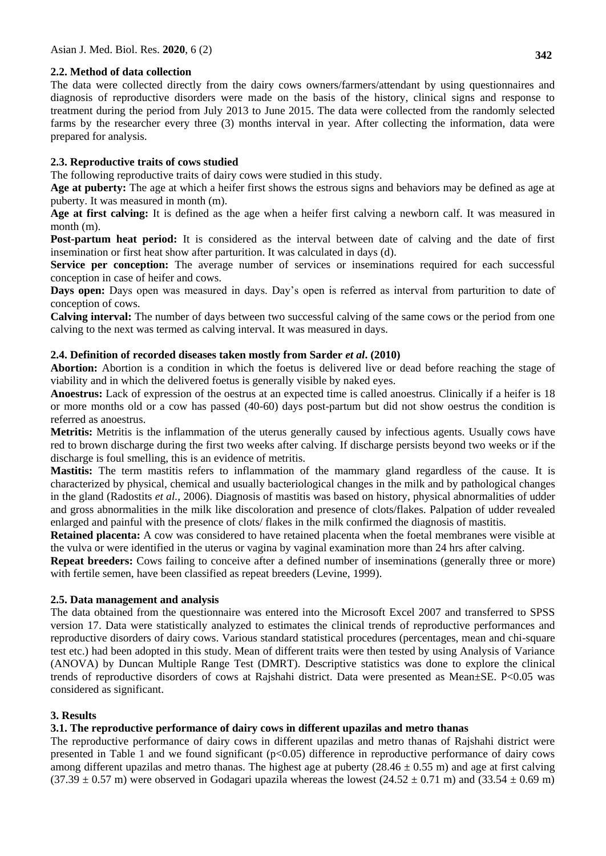# **2.2. Method of data collection**

The data were collected directly from the dairy cows owners/farmers/attendant by using questionnaires and diagnosis of reproductive disorders were made on the basis of the history, clinical signs and response to treatment during the period from July 2013 to June 2015. The data were collected from the randomly selected farms by the researcher every three (3) months interval in year. After collecting the information, data were prepared for analysis.

# **2.3. Reproductive traits of cows studied**

The following reproductive traits of dairy cows were studied in this study.

**Age at puberty:** The age at which a heifer first shows the estrous signs and behaviors may be defined as age at puberty. It was measured in month (m).

**Age at first calving:** It is defined as the age when a heifer first calving a newborn calf. It was measured in month (m).

**Post-partum heat period:** It is considered as the interval between date of calving and the date of first insemination or first heat show after parturition. It was calculated in days (d).

**Service per conception:** The average number of services or inseminations required for each successful conception in case of heifer and cows.

**Days open:** Days open was measured in days. Day's open is referred as interval from parturition to date of conception of cows.

**Calving interval:** The number of days between two successful calving of the same cows or the period from one calving to the next was termed as calving interval. It was measured in days.

# **2.4. Definition of recorded diseases taken mostly from Sarder** *et al***. (2010)**

**Abortion:** Abortion is a condition in which the foetus is delivered live or dead before reaching the stage of viability and in which the delivered foetus is generally visible by naked eyes.

**Anoestrus:** Lack of expression of the oestrus at an expected time is called anoestrus. Clinically if a heifer is 18 or more months old or a cow has passed (40-60) days post-partum but did not show oestrus the condition is referred as anoestrus.

**Metritis:** Metritis is the inflammation of the uterus generally caused by infectious agents. Usually cows have red to brown discharge during the first two weeks after calving. If discharge persists beyond two weeks or if the discharge is foul smelling, this is an evidence of metritis.

**Mastitis:** The term mastitis refers to inflammation of the mammary gland regardless of the cause. It is characterized by physical, chemical and usually bacteriological changes in the milk and by pathological changes in the gland (Radostits *et al.,* 2006). Diagnosis of mastitis was based on history, physical abnormalities of udder and gross abnormalities in the milk like discoloration and presence of clots/flakes. Palpation of udder revealed enlarged and painful with the presence of clots/ flakes in the milk confirmed the diagnosis of mastitis.

**Retained placenta:** A cow was considered to have retained placenta when the foetal membranes were visible at the vulva or were identified in the uterus or vagina by vaginal examination more than 24 hrs after calving.

**Repeat breeders:** Cows failing to conceive after a defined number of inseminations (generally three or more) with fertile semen, have been classified as repeat breeders (Levine, 1999).

## **2.5. Data management and analysis**

The data obtained from the questionnaire was entered into the Microsoft Excel 2007 and transferred to SPSS version 17. Data were statistically analyzed to estimates the clinical trends of reproductive performances and reproductive disorders of dairy cows. Various standard statistical procedures (percentages, mean and chi-square test etc.) had been adopted in this study. Mean of different traits were then tested by using Analysis of Variance (ANOVA) by Duncan Multiple Range Test (DMRT). Descriptive statistics was done to explore the clinical trends of reproductive disorders of cows at Rajshahi district. Data were presented as Mean±SE. P<0.05 was considered as significant.

# **3. Results**

# **3.1. The reproductive performance of dairy cows in different upazilas and metro thanas**

The reproductive performance of dairy cows in different upazilas and metro thanas of Rajshahi district were presented in Table 1 and we found significant (p<0.05) difference in reproductive performance of dairy cows among different upazilas and metro thanas. The highest age at puberty  $(28.46 \pm 0.55 \text{ m})$  and age at first calving  $(37.39 \pm 0.57 \text{ m})$  were observed in Godagari upazila whereas the lowest  $(24.52 \pm 0.71 \text{ m})$  and  $(33.54 \pm 0.69 \text{ m})$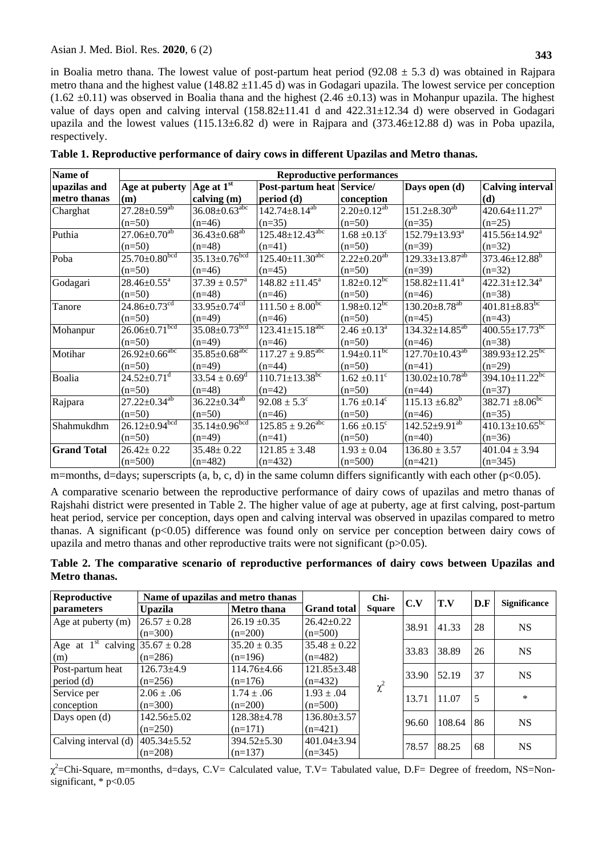in Boalia metro thana. The lowest value of post-partum heat period ( $92.08 \pm 5.3$  d) was obtained in Rajpara metro thana and the highest value (148.82  $\pm$ 11.45 d) was in Godagari upazila. The lowest service per conception  $(1.62 \pm 0.11)$  was observed in Boalia thana and the highest  $(2.46 \pm 0.13)$  was in Mohanpur upazila. The highest value of days open and calving interval  $(158.82 \pm 11.41$  d and  $422.31 \pm 12.34$  d) were observed in Godagari upazila and the lowest values  $(115.13\pm6.82$  d) were in Rajpara and  $(373.46\pm12.88$  d) was in Poba upazila, respectively.

| Name of            | <b>Reproductive performances</b> |                                 |                                   |                              |                                  |                                  |  |  |  |
|--------------------|----------------------------------|---------------------------------|-----------------------------------|------------------------------|----------------------------------|----------------------------------|--|--|--|
| upazilas and       | Age at puberty                   | Age at $1st$                    | Post-partum heat Service/         |                              | Days open (d)                    | <b>Calving interval</b>          |  |  |  |
| metro thanas       | (m)                              | calving (m)                     | period (d)                        | conception                   |                                  | (d)                              |  |  |  |
| Charghat           | $27.28 \pm 0.59^{ab}$            | $36.08 \pm 0.63$ <sup>abc</sup> | $142.74 \pm 8.14$ <sup>ab</sup>   | $2.20 \pm 0.12^{ab}$         | $151.2 \pm 8.30^{ab}$            | $420.64 \pm 11.27$ <sup>a</sup>  |  |  |  |
|                    | $(n=50)$                         | $(n=46)$                        | $(n=35)$                          | $(n=50)$                     | $(n=35)$                         | $(n=25)$                         |  |  |  |
| Puthia             | $27.06 \pm 0.70^{ab}$            | $36.43 \pm 0.68^{ab}$           | $125.48 \pm 12.43$ <sup>abc</sup> | $1.68 \pm 0.13^{\circ}$      | 152.79±13.93 <sup>a</sup>        | $415.56 \pm 14.92^a$             |  |  |  |
|                    | $(n=50)$                         | $(n=48)$                        | $(n=41)$                          | $(n=50)$                     | $(n=39)$                         | $(n=32)$                         |  |  |  |
| Poba               | $25.70 \pm 0.80^{bcd}$           | $35.13 \pm 0.76$ bcd            | $125.40 \pm 11.30$ <sup>abc</sup> | $2.22 \pm 0.20^{ab}$         | $129.33 \pm 13.87^{ab}$          | $373.46 \pm 12.88$ <sup>b</sup>  |  |  |  |
|                    | $(n=50)$                         | $(n=46)$                        | $(n=45)$                          | $(n=50)$                     | $(n=39)$                         | $(n=32)$                         |  |  |  |
| Godagari           | $28.46 \pm 0.55^a$               | $37.39 \pm 0.57^{\circ}$        | $148.82 \pm 11.45^a$              | $1.82 \pm 0.12^{bc}$         | $158.82 \pm 11.41^a$             | $422.31 \pm 12.34$ <sup>a</sup>  |  |  |  |
|                    | $(n=50)$                         | $(n=48)$                        | $(n=46)$                          | $(n=50)$                     | $(n=46)$                         | $(n=38)$                         |  |  |  |
| Tanore             | $24.86 \pm 0.73$ <sup>cd</sup>   | $33.95 \pm 0.74^{cd}$           | $111.50 \pm 8.00^{\rm bc}$        | $1.98 \pm 0.12^{bc}$         | $130.20 \pm 8.78$ <sup>ab</sup>  | $401.81 \pm 8.83$ <sup>bc</sup>  |  |  |  |
|                    | $(n=50)$                         | $(n=49)$                        | $(n=46)$                          | $(n=50)$                     | $(n=45)$                         | $(n=43)$                         |  |  |  |
| Mohanpur           | $26.06 \pm 0.71^{bcd}$           | $35.08 \pm 0.73$ bcd            | $123.41 \pm 15.18$ <sup>abc</sup> | $2.46 \pm 0.13^a$            | $134.32 \pm 14.85^{ab}$          | $400.55 \pm 17.73$ <sup>bc</sup> |  |  |  |
|                    | $(n=50)$                         | $(n=49)$                        | $(n=46)$                          | $(n=50)$                     | $(n=46)$                         | $(n=38)$                         |  |  |  |
| Motihar            | $26.92 \pm 0.66$ <sup>abc</sup>  | $35.85 \pm 0.68$ <sup>abc</sup> | $117.27 \pm 9.85^{\text{abc}}$    | $1.94 \pm 0.11^{bc}$         | $127.70 \pm 10.43^{ab}$          | $389.93 \pm 12.25^{bc}$          |  |  |  |
|                    | $(n=50)$                         | $(n=49)$                        | $(n=44)$                          | $(n=50)$                     | $(n=41)$                         | $(n=29)$                         |  |  |  |
| Boalia             | $24.52 \pm 0.71$ <sup>d</sup>    | $33.54 \pm 0.69^{\rm d}$        | $110.71 \pm 13.38$ <sup>bc</sup>  | $1.62 \pm 0.11^{\circ}$      | $130.02 \pm 10.78$ <sup>ab</sup> | $394.10 \pm 11.22$ <sup>bc</sup> |  |  |  |
|                    | $(n=50)$                         | $(n=48)$                        | $(n=42)$                          | $(n=50)$                     | $(n=44)$                         | $(n=37)$                         |  |  |  |
| Rajpara            | $27.22 \pm 0.34^{ab}$            | $36.22 \pm 0.34^{ab}$           | $92.08 \pm 5.3^{\circ}$           | $1.76 \pm 0.14$ <sup>c</sup> | $115.13 \pm 6.82^b$              | $382.71 \pm 8.06^{bc}$           |  |  |  |
|                    | $(n=50)$                         | $(n=50)$                        | $(n=46)$                          | $(n=50)$                     | $(n=46)$                         | $(n=35)$                         |  |  |  |
| Shahmukdhm         | $26.12 \pm 0.94$ bcd             | $35.14 \pm 0.96^{bcd}$          | $125.85 \pm 9.26^{abc}$           | $1.66 \pm 0.15$ <sup>c</sup> | $142.52 \pm 9.91^{ab}$           | $410.13 \pm 10.65^{bc}$          |  |  |  |
|                    | $(n=50)$                         | $(n=49)$                        | $(n=41)$                          | $(n=50)$                     | $(n=40)$                         | $(n=36)$                         |  |  |  |
| <b>Grand Total</b> | $26.42 \pm 0.22$                 | $35.48 \pm 0.22$                | $121.85 \pm 3.48$                 | $1.93 \pm 0.04$              | $136.80 \pm 3.57$                | $401.04 \pm 3.94$                |  |  |  |
|                    | $(n=500)$                        | $(n=482)$                       | $(n=432)$                         | $(n=500)$                    | $(n=421)$                        | $(n=345)$                        |  |  |  |

|  |  |  | Table 1. Reproductive performance of dairy cows in different Upazilas and Metro thanas. |
|--|--|--|-----------------------------------------------------------------------------------------|
|  |  |  |                                                                                         |

m=months, d=days; superscripts (a, b, c, d) in the same column differs significantly with each other ( $p<0.05$ ).

A comparative scenario between the reproductive performance of dairy cows of upazilas and metro thanas of Rajshahi district were presented in Table 2. The higher value of age at puberty, age at first calving, post-partum heat period, service per conception, days open and calving interval was observed in upazilas compared to metro thanas. A significant (p<0.05) difference was found only on service per conception between dairy cows of upazila and metro thanas and other reproductive traits were not significant (p>0.05).

|               |  |  | Table 2. The comparative scenario of reproductive performances of dairy cows between Upazilas and |  |  |  |
|---------------|--|--|---------------------------------------------------------------------------------------------------|--|--|--|
| Metro thanas. |  |  |                                                                                                   |  |  |  |

| Reproductive         | Name of upazilas and metro thanas |                    |                    | Chi-          | C.V   | <b>T.V</b> | D.F | <b>Significance</b> |
|----------------------|-----------------------------------|--------------------|--------------------|---------------|-------|------------|-----|---------------------|
| parameters           | <b>Upazila</b>                    | <b>Metro</b> thana | <b>Grand</b> total | <b>Square</b> |       |            |     |                     |
| Age at puberty (m)   | $26.57 \pm 0.28$                  | $26.19 \pm 0.35$   | $26.42 \pm 0.22$   |               | 38.91 | 41.33      | 28  | <b>NS</b>           |
|                      | $(n=300)$                         | $(n=200)$          | $(n=500)$          |               |       |            |     |                     |
| Age at $1st$         | calving $35.67 \pm 0.28$          | $35.20 \pm 0.35$   | $35.48 \pm 0.22$   |               | 33.83 | 38.89      | 26  | <b>NS</b>           |
| (m)                  | $(n=286)$                         | $(n=196)$          | $(n=482)$          |               |       |            |     |                     |
| Post-partum heat     | $126.73{\pm}4.9$                  | $114.76 \pm 4.66$  | $121.85 \pm 3.48$  |               | 33.90 | 52.19      | 37  | <b>NS</b>           |
| period (d)           | $(n=256)$                         | $(n=176)$          | $(n=432)$          | $\chi^2$      |       |            |     |                     |
| Service per          | $2.06 \pm .06$                    | $1.74 \pm .06$     | $1.93 \pm .04$     |               | 13.71 | 11.07      | 5   | $\ast$              |
| conception           | $(n=300)$                         | $(n=200)$          | $(n=500)$          |               |       |            |     |                     |
| Days open $(d)$      | $142.56 \pm 5.02$                 | 128.38±4.78        | $136.80 \pm 3.57$  |               | 96.60 | 108.64     | 86  | <b>NS</b>           |
|                      | $(n=250)$                         | $(n=171)$          | $(n=421)$          |               |       |            |     |                     |
| Calving interval (d) | $405.34 \pm 5.52$                 | $394.52 \pm 5.30$  | $401.04 \pm 3.94$  |               |       |            |     |                     |
|                      | $(n=208)$                         | $(n=137)$          | $(n=345)$          |               | 78.57 | 88.25      | 68  | <b>NS</b>           |

χ 2 =Chi-Square, m=months, d=days, C.V= Calculated value, T.V= Tabulated value, D.F= Degree of freedom, NS=Nonsignificant,  $*$   $p<0.05$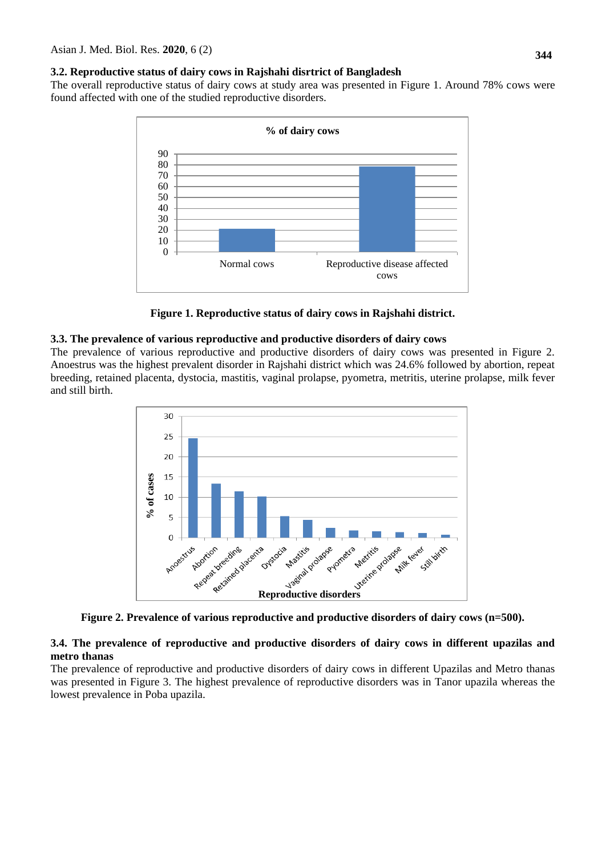#### **3.2. Reproductive status of dairy cows in Rajshahi disrtrict of Bangladesh**

The overall reproductive status of dairy cows at study area was presented in Figure 1. Around 78% cows were found affected with one of the studied reproductive disorders.



**Figure 1. Reproductive status of dairy cows in Rajshahi district.**

### **3.3. The prevalence of various reproductive and productive disorders of dairy cows**

The prevalence of various reproductive and productive disorders of dairy cows was presented in Figure 2. Anoestrus was the highest prevalent disorder in Rajshahi district which was 24.6% followed by abortion, repeat breeding, retained placenta, dystocia, mastitis, vaginal prolapse, pyometra, metritis, uterine prolapse, milk fever and still birth.



**Figure 2. Prevalence of various reproductive and productive disorders of dairy cows (n=500).**

## **3.4. The prevalence of reproductive and productive disorders of dairy cows in different upazilas and metro thanas**

The prevalence of reproductive and productive disorders of dairy cows in different Upazilas and Metro thanas was presented in Figure 3. The highest prevalence of reproductive disorders was in Tanor upazila whereas the lowest prevalence in Poba upazila.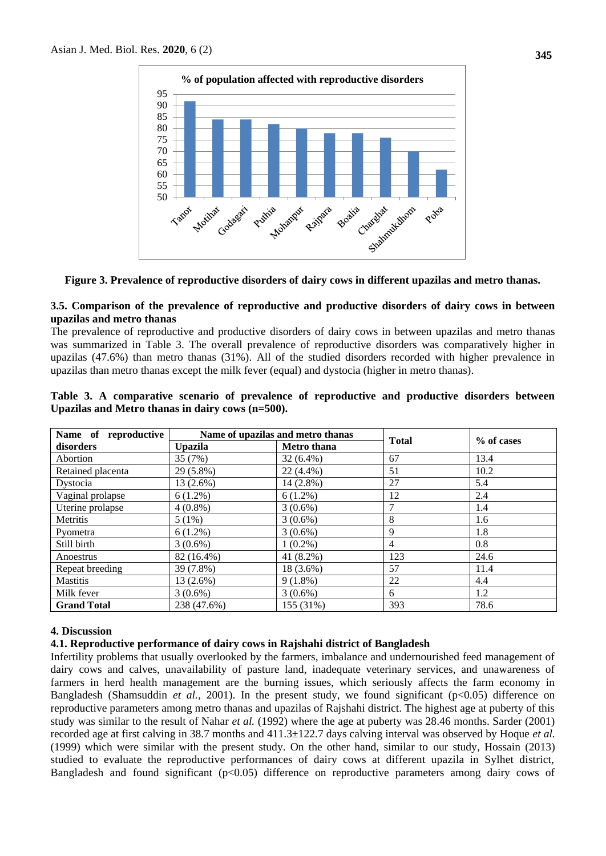

**Figure 3. Prevalence of reproductive disorders of dairy cows in different upazilas and metro thanas.**

# **3.5. Comparison of the prevalence of reproductive and productive disorders of dairy cows in between upazilas and metro thanas**

The prevalence of reproductive and productive disorders of dairy cows in between upazilas and metro thanas was summarized in Table 3. The overall prevalence of reproductive disorders was comparatively higher in upazilas (47.6%) than metro thanas (31%). All of the studied disorders recorded with higher prevalence in upazilas than metro thanas except the milk fever (equal) and dystocia (higher in metro thanas).

| Name of reproductive |                                      | Name of upazilas and metro thanas |              |            |  |
|----------------------|--------------------------------------|-----------------------------------|--------------|------------|--|
| disorders            | <b>Metro</b> thana<br><b>Upazila</b> |                                   | <b>Total</b> | % of cases |  |
| Abortion             | 35 (7%)                              | $32(6.4\%)$                       | 67           | 13.4       |  |
| Retained placenta    | $29(5.8\%)$                          | $22(4.4\%)$                       | 51           | 10.2       |  |
| Dystocia             | 13 (2.6%)                            | $14(2.8\%)$                       | 27           | 5.4        |  |
| Vaginal prolapse     | $6(1.2\%)$                           | $6(1.2\%)$                        | 12           | 2.4        |  |
| Uterine prolapse     | $4(0.8\%)$                           | $3(0.6\%)$                        | 7            | 1.4        |  |
| Metritis             | 5(1%)                                | $3(0.6\%)$                        | 8            | 1.6        |  |
| Pyometra             | $6(1.2\%)$                           | $3(0.6\%)$                        | 9            | 1.8        |  |
| Still birth          | $3(0.6\%)$                           | $1(0.2\%)$                        | 4            | 0.8        |  |
| Anoestrus            | 82 (16.4%)                           | 41 (8.2%)                         | 123          | 24.6       |  |
| Repeat breeding      | 39 (7.8%)                            | 18 (3.6%)                         | 57           | 11.4       |  |
| <b>Mastitis</b>      | 13 (2.6%)                            | $9(1.8\%)$                        | 22           | 4.4        |  |
| Milk fever           | $3(0.6\%)$                           | $3(0.6\%)$                        | 6            | 1.2        |  |
| <b>Grand Total</b>   | 238 (47.6%)                          | 155 (31%)                         | 393          | 78.6       |  |

**Table 3. A comparative scenario of prevalence of reproductive and productive disorders between Upazilas and Metro thanas in dairy cows (n=500).**

## **4. Discussion**

## **4.1. Reproductive performance of dairy cows in Rajshahi district of Bangladesh**

Infertility problems that usually overlooked by the farmers, imbalance and undernourished feed management of dairy cows and calves, unavailability of pasture land, inadequate veterinary services, and unawareness of farmers in herd health management are the burning issues, which seriously affects the farm economy in Bangladesh (Shamsuddin *et al.,* 2001). In the present study, we found significant (p<0.05) difference on reproductive parameters among metro thanas and upazilas of Rajshahi district. The highest age at puberty of this study was similar to the result of Nahar *et al.* (1992) where the age at puberty was 28.46 months. Sarder (2001) recorded age at first calving in 38.7 months and 411.3±122.7 days calving interval was observed by Hoque *et al.* (1999) which were similar with the present study. On the other hand, similar to our study, Hossain (2013) studied to evaluate the reproductive performances of dairy cows at different upazila in Sylhet district, Bangladesh and found significant  $(p<0.05)$  difference on reproductive parameters among dairy cows of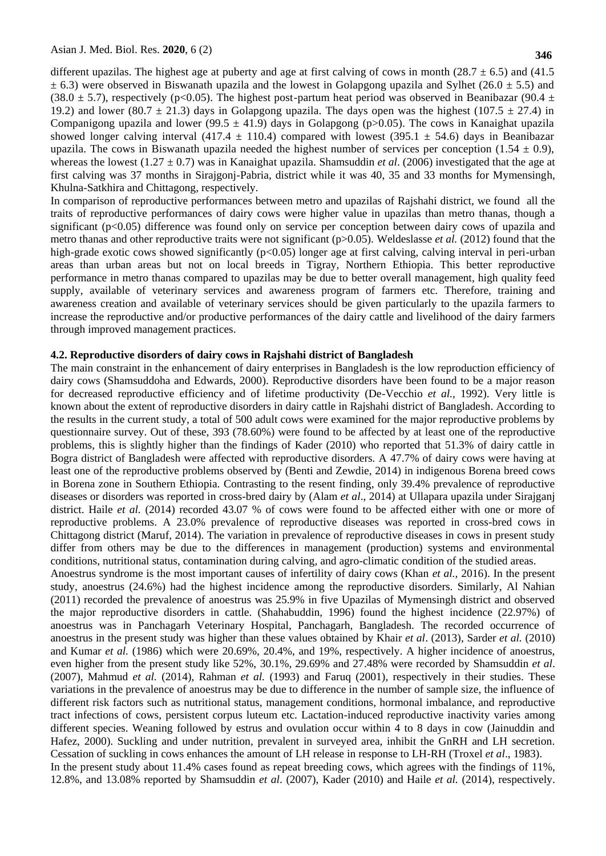**346**

different upazilas. The highest age at puberty and age at first calving of cows in month (28.7  $\pm$  6.5) and (41.5)  $\pm$  6.3) were observed in Biswanath upazila and the lowest in Golapgong upazila and Sylhet (26.0  $\pm$  5.5) and (38.0  $\pm$  5.7), respectively (p<0.05). The highest post-partum heat period was observed in Beanibazar (90.4  $\pm$ 19.2) and lower (80.7  $\pm$  21.3) days in Golapgong upazila. The days open was the highest (107.5  $\pm$  27.4) in Companigong upazila and lower (99.5  $\pm$  41.9) days in Golapgong (p>0.05). The cows in Kanaighat upazila showed longer calving interval (417.4  $\pm$  110.4) compared with lowest (395.1  $\pm$  54.6) days in Beanibazar upazila. The cows in Biswanath upazila needed the highest number of services per conception  $(1.54 \pm 0.9)$ , whereas the lowest (1.27  $\pm$  0.7) was in Kanaighat upazila. Shamsuddin *et al.* (2006) investigated that the age at first calving was 37 months in Sirajgonj-Pabria, district while it was 40, 35 and 33 months for Mymensingh, Khulna-Satkhira and Chittagong, respectively.

In comparison of reproductive performances between metro and upazilas of Rajshahi district, we found all the traits of reproductive performances of dairy cows were higher value in upazilas than metro thanas, though a significant (p<0.05) difference was found only on service per conception between dairy cows of upazila and metro thanas and other reproductive traits were not significant (p>0.05). Weldeslasse *et al.* (2012) found that the high-grade exotic cows showed significantly (p<0.05) longer age at first calving, calving interval in peri-urban areas than urban areas but not on local breeds in Tigray, Northern Ethiopia. This better reproductive performance in metro thanas compared to upazilas may be due to better overall management, high quality feed supply, available of veterinary services and awareness program of farmers etc. Therefore, training and awareness creation and available of veterinary services should be given particularly to the upazila farmers to increase the reproductive and/or productive performances of the dairy cattle and livelihood of the dairy farmers through improved management practices.

#### **4.2. Reproductive disorders of dairy cows in Rajshahi district of Bangladesh**

The main constraint in the enhancement of dairy enterprises in Bangladesh is the low reproduction efficiency of dairy cows (Shamsuddoha and Edwards, 2000). Reproductive disorders have been found to be a major reason for decreased reproductive efficiency and of lifetime productivity (De-Vecchio *et al.,* 1992). Very little is known about the extent of reproductive disorders in dairy cattle in Rajshahi district of Bangladesh. According to the results in the current study, a total of 500 adult cows were examined for the major reproductive problems by questionnaire survey. Out of these, 393 (78.60%) were found to be affected by at least one of the reproductive problems, this is slightly higher than the findings of Kader (2010) who reported that 51.3% of dairy cattle in Bogra district of Bangladesh were affected with reproductive disorders. A 47.7% of dairy cows were having at least one of the reproductive problems observed by (Benti and Zewdie, 2014) in indigenous Borena breed cows in Borena zone in Southern Ethiopia. Contrasting to the resent finding, only 39.4% prevalence of reproductive diseases or disorders was reported in cross-bred dairy by (Alam *et al*., 2014) at Ullapara upazila under Sirajganj district. Haile *et al.* (2014) recorded 43.07 % of cows were found to be affected either with one or more of reproductive problems. A 23.0% prevalence of reproductive diseases was reported in cross-bred cows in Chittagong district (Maruf, 2014). The variation in prevalence of reproductive diseases in cows in present study differ from others may be due to the differences in management (production) systems and environmental conditions, nutritional status, contamination during calving, and agro-climatic condition of the studied areas.

Anoestrus syndrome is the most important causes of infertility of dairy cows (Khan *et al.,* 2016). In the present study, anoestrus (24.6%) had the highest incidence among the reproductive disorders. Similarly, Al Nahian (2011) recorded the prevalence of anoestrus was 25.9% in five Upazilas of Mymensingh district and observed the major reproductive disorders in cattle. (Shahabuddin, 1996) found the highest incidence (22.97%) of anoestrus was in Panchagarh Veterinary Hospital, Panchagarh, Bangladesh. The recorded occurrence of anoestrus in the present study was higher than these values obtained by Khair *et al*. (2013), Sarder *et al.* (2010) and Kumar *et al.* (1986) which were 20.69%, 20.4%, and 19%, respectively. A higher incidence of anoestrus, even higher from the present study like 52%, 30.1%, 29.69% and 27.48% were recorded by Shamsuddin *et al*. (2007), Mahmud *et al.* (2014), Rahman *et al.* (1993) and Faruq (2001), respectively in their studies. These variations in the prevalence of anoestrus may be due to difference in the number of sample size, the influence of different risk factors such as nutritional status, management conditions, hormonal imbalance, and reproductive tract infections of cows, persistent corpus luteum etc. Lactation-induced reproductive inactivity varies among different species. Weaning followed by estrus and ovulation occur within 4 to 8 days in cow (Jainuddin and Hafez, 2000). Suckling and under nutrition, prevalent in surveyed area, inhibit the GnRH and LH secretion. Cessation of suckling in cows enhances the amount of LH release in response to LH-RH (Troxel *et al*., 1983). In the present study about 11.4% cases found as repeat breeding cows, which agrees with the findings of 11%,

12.8%, and 13.08% reported by Shamsuddin *et al*. (2007), Kader (2010) and Haile *et al.* (2014), respectively.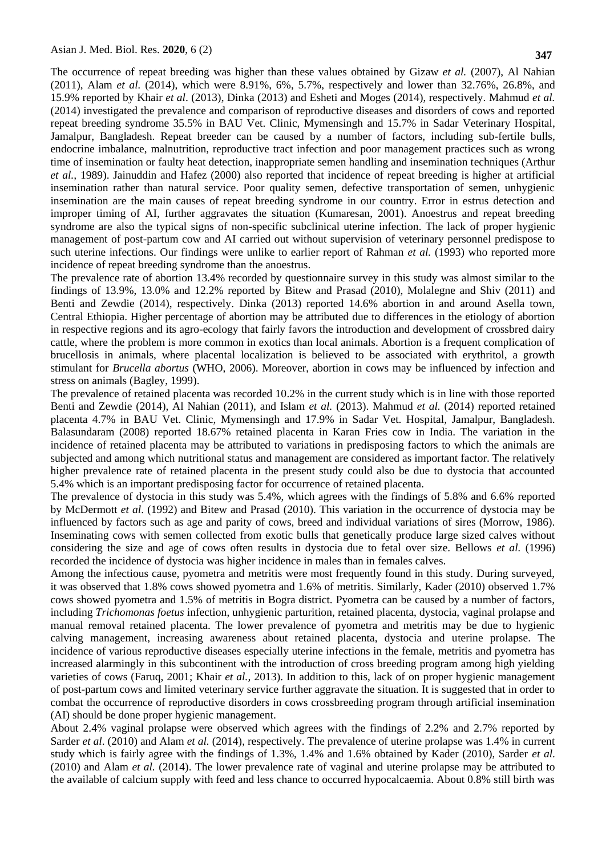The occurrence of repeat breeding was higher than these values obtained by Gizaw *et al.* (2007), Al Nahian (2011), Alam *et al.* (2014), which were 8.91%, 6%, 5.7%, respectively and lower than 32.76%, 26.8%, and 15.9% reported by Khair *et al*. (2013), Dinka (2013) and Esheti and Moges (2014), respectively. Mahmud *et al.* (2014) investigated the prevalence and comparison of reproductive diseases and disorders of cows and reported repeat breeding syndrome 35.5% in BAU Vet. Clinic, Mymensingh and 15.7% in Sadar Veterinary Hospital, Jamalpur, Bangladesh. Repeat breeder can be caused by a number of factors, including sub-fertile bulls, endocrine imbalance, malnutrition, reproductive tract infection and poor management practices such as wrong time of insemination or faulty heat detection, inappropriate semen handling and insemination techniques (Arthur *et al.,* 1989). Jainuddin and Hafez (2000) also reported that incidence of repeat breeding is higher at artificial insemination rather than natural service. Poor quality semen, defective transportation of semen, unhygienic insemination are the main causes of repeat breeding syndrome in our country. Error in estrus detection and improper timing of AI, further aggravates the situation (Kumaresan, 2001). Anoestrus and repeat breeding syndrome are also the typical signs of non-specific subclinical uterine infection. The lack of proper hygienic management of post-partum cow and AI carried out without supervision of veterinary personnel predispose to such uterine infections. Our findings were unlike to earlier report of Rahman *et al.* (1993) who reported more incidence of repeat breeding syndrome than the anoestrus.

The prevalence rate of abortion 13.4% recorded by questionnaire survey in this study was almost similar to the findings of 13.9%, 13.0% and 12.2% reported by Bitew and Prasad (2010), Molalegne and Shiv (2011) and Benti and Zewdie (2014), respectively. Dinka (2013) reported 14.6% abortion in and around Asella town, Central Ethiopia. Higher percentage of abortion may be attributed due to differences in the etiology of abortion in respective regions and its agro-ecology that fairly favors the introduction and development of crossbred dairy cattle, where the problem is more common in exotics than local animals. Abortion is a frequent complication of brucellosis in animals, where placental localization is believed to be associated with erythritol, a growth stimulant for *Brucella abortus* (WHO, 2006). Moreover, abortion in cows may be influenced by infection and stress on animals (Bagley, 1999).

The prevalence of retained placenta was recorded 10.2% in the current study which is in line with those reported Benti and Zewdie (2014), Al Nahian (2011), and Islam *et al.* (2013). Mahmud *et al.* (2014) reported retained placenta 4.7% in BAU Vet. Clinic, Mymensingh and 17.9% in Sadar Vet. Hospital, Jamalpur, Bangladesh. Balasundaram (2008) reported 18.67% retained placenta in Karan Fries cow in India. The variation in the incidence of retained placenta may be attributed to variations in predisposing factors to which the animals are subjected and among which nutritional status and management are considered as important factor. The relatively higher prevalence rate of retained placenta in the present study could also be due to dystocia that accounted 5.4% which is an important predisposing factor for occurrence of retained placenta.

The prevalence of dystocia in this study was 5.4%, which agrees with the findings of 5.8% and 6.6% reported by McDermott *et al*. (1992) and Bitew and Prasad (2010). This variation in the occurrence of dystocia may be influenced by factors such as age and parity of cows, breed and individual variations of sires (Morrow, 1986). Inseminating cows with semen collected from exotic bulls that genetically produce large sized calves without considering the size and age of cows often results in dystocia due to fetal over size. Bellows *et al.* (1996) recorded the incidence of dystocia was higher incidence in males than in females calves.

Among the infectious cause, pyometra and metritis were most frequently found in this study. During surveyed, it was observed that 1.8% cows showed pyometra and 1.6% of metritis. Similarly, Kader (2010) observed 1.7% cows showed pyometra and 1.5% of metritis in Bogra district. Pyometra can be caused by a number of factors, including *Trichomonas foetus* infection, unhygienic parturition, retained placenta, dystocia, vaginal prolapse and manual removal retained placenta. The lower prevalence of pyometra and metritis may be due to hygienic calving management, increasing awareness about retained placenta, dystocia and uterine prolapse. The incidence of various reproductive diseases especially uterine infections in the female, metritis and pyometra has increased alarmingly in this subcontinent with the introduction of cross breeding program among high yielding varieties of cows (Faruq, 2001; Khair *et al.,* 2013). In addition to this, lack of on proper hygienic management of post-partum cows and limited veterinary service further aggravate the situation. It is suggested that in order to combat the occurrence of reproductive disorders in cows crossbreeding program through artificial insemination (AI) should be done proper hygienic management.

About 2.4% vaginal prolapse were observed which agrees with the findings of 2.2% and 2.7% reported by Sarder *et al*. (2010) and Alam *et al.* (2014), respectively. The prevalence of uterine prolapse was 1.4% in current study which is fairly agree with the findings of 1.3%, 1.4% and 1.6% obtained by Kader (2010), Sarder *et al*. (2010) and Alam *et al.* (2014). The lower prevalence rate of vaginal and uterine prolapse may be attributed to the available of calcium supply with feed and less chance to occurred hypocalcaemia. About 0.8% still birth was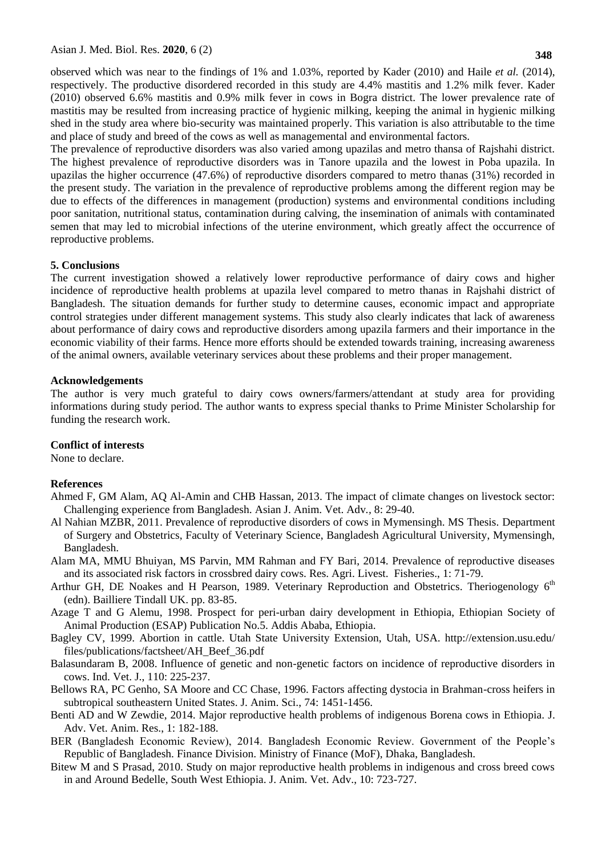observed which was near to the findings of 1% and 1.03%, reported by Kader (2010) and Haile *et al.* (2014), respectively. The productive disordered recorded in this study are 4.4% mastitis and 1.2% milk fever. Kader (2010) observed 6.6% mastitis and 0.9% milk fever in cows in Bogra district. The lower prevalence rate of mastitis may be resulted from increasing practice of hygienic milking, keeping the animal in hygienic milking shed in the study area where bio-security was maintained properly. This variation is also attributable to the time and place of study and breed of the cows as well as managemental and environmental factors.

The prevalence of reproductive disorders was also varied among upazilas and metro thansa of Rajshahi district. The highest prevalence of reproductive disorders was in Tanore upazila and the lowest in Poba upazila. In upazilas the higher occurrence (47.6%) of reproductive disorders compared to metro thanas (31%) recorded in the present study. The variation in the prevalence of reproductive problems among the different region may be due to effects of the differences in management (production) systems and environmental conditions including poor sanitation, nutritional status, contamination during calving, the insemination of animals with contaminated semen that may led to microbial infections of the uterine environment, which greatly affect the occurrence of reproductive problems.

#### **5. Conclusions**

The current investigation showed a relatively lower reproductive performance of dairy cows and higher incidence of reproductive health problems at upazila level compared to metro thanas in Rajshahi district of Bangladesh. The situation demands for further study to determine causes, economic impact and appropriate control strategies under different management systems. This study also clearly indicates that lack of awareness about performance of dairy cows and reproductive disorders among upazila farmers and their importance in the economic viability of their farms. Hence more efforts should be extended towards training, increasing awareness of the animal owners, available veterinary services about these problems and their proper management.

#### **Acknowledgements**

The author is very much grateful to dairy cows owners/farmers/attendant at study area for providing informations during study period. The author wants to express special thanks to Prime Minister Scholarship for funding the research work.

#### **Conflict of interests**

None to declare.

#### **References**

- Ahmed F, GM Alam, AQ Al-Amin and CHB Hassan, 2013. The impact of climate changes on livestock sector: Challenging experience from Bangladesh. Asian J. Anim. Vet. Adv*.,* 8: 29-40.
- Al Nahian MZBR, 2011. Prevalence of reproductive disorders of cows in Mymensingh. MS Thesis. Department of Surgery and Obstetrics, Faculty of Veterinary Science, Bangladesh Agricultural University, Mymensingh, Bangladesh.
- Alam MA, MMU Bhuiyan, MS Parvin, MM Rahman and FY Bari, 2014. Prevalence of reproductive diseases and its associated risk factors in crossbred dairy cows. Res. Agri. Livest. Fisheries., 1: 71-79.
- Arthur GH, DE Noakes and H Pearson, 1989. Veterinary Reproduction and Obstetrics. Theriogenology 6<sup>th</sup> (edn). Bailliere Tindall UK. pp. 83-85.
- Azage T and G Alemu, 1998. Prospect for peri-urban dairy development in Ethiopia, Ethiopian Society of Animal Production (ESAP) Publication No.5. Addis Ababa, Ethiopia.
- Bagley CV, 1999. Abortion in cattle. Utah State University Extension, Utah, USA. http://extension.usu.edu/ files/publications/factsheet/AH\_Beef\_36.pdf
- Balasundaram B, 2008. Influence of genetic and non-genetic factors on incidence of reproductive disorders in cows. Ind. Vet. J., 110: 225-237.
- Bellows RA, PC Genho, SA Moore and CC Chase, 1996. Factors affecting dystocia in Brahman-cross heifers in subtropical southeastern United States. J. Anim. Sci., 74: 1451-1456.
- Benti AD and W Zewdie, 2014. Major reproductive health problems of indigenous Borena cows in Ethiopia. J. Adv. Vet. Anim. Res., 1: 182-188.
- BER (Bangladesh Economic Review), 2014. Bangladesh Economic Review. Government of the People's Republic of Bangladesh. Finance Division. Ministry of Finance (MoF), Dhaka, Bangladesh.
- Bitew M and S Prasad, 2010. Study on major reproductive health problems in indigenous and cross breed cows in and Around Bedelle, South West Ethiopia. J. Anim. Vet. Adv., 10: 723-727.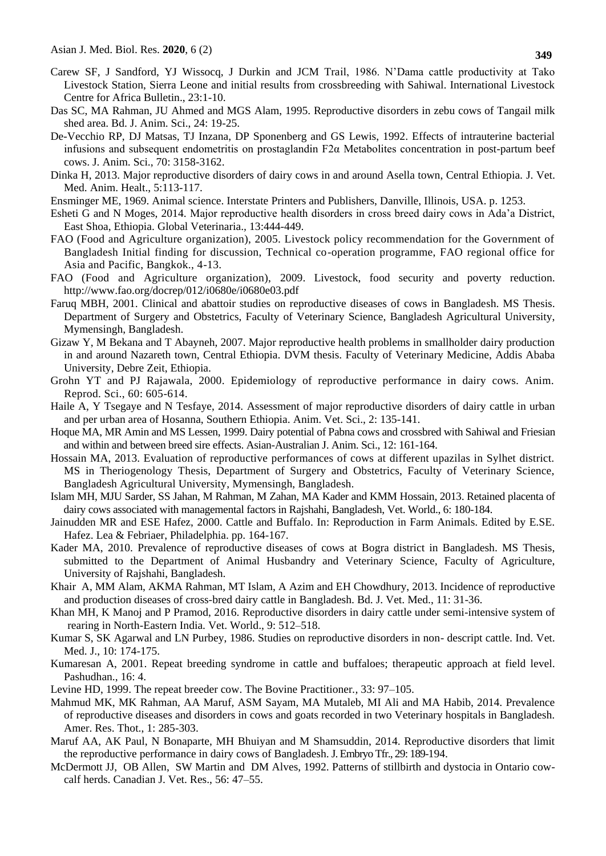- Carew SF, J Sandford, YJ Wissocq, J Durkin and JCM Trail, 1986. N'Dama cattle productivity at Tako Livestock Station, Sierra Leone and initial results from crossbreeding with Sahiwal. International Livestock Centre for Africa Bulletin., 23:1-10.
- Das SC, MA Rahman, JU Ahmed and MGS Alam, 1995. Reproductive disorders in zebu cows of Tangail milk shed area. Bd. J. Anim. Sci., 24: 19-25.
- De-Vecchio RP, DJ Matsas, TJ Inzana, DP Sponenberg and GS Lewis, 1992. Effects of intrauterine bacterial infusions and subsequent endometritis on prostaglandin F2α Metabolites concentration in post-partum beef cows. J. Anim. Sci., 70: 3158-3162.
- Dinka H, 2013. Major reproductive disorders of dairy cows in and around Asella town, Central Ethiopia. J. Vet. Med. Anim. Healt., 5:113-117.
- Ensminger ME, 1969. Animal science. Interstate Printers and Publishers, Danville, Illinois, USA. p. 1253.
- Esheti G and N Moges, 2014. Major reproductive health disorders in cross breed dairy cows in Ada'a District, East Shoa, Ethiopia. Global Veterinaria.*,* 13:444-449.
- FAO (Food and Agriculture organization), 2005. Livestock policy recommendation for the Government of Bangladesh Initial finding for discussion, Technical co-operation programme, FAO regional office for Asia and Pacific, Bangkok., 4-13.
- FAO (Food and Agriculture organization), 2009. Livestock, food security and poverty reduction. <http://www.fao.org/docrep/012/i0680e/i0680e03.pdf>
- Faruq MBH, 2001. Clinical and abattoir studies on reproductive diseases of cows in Bangladesh. MS Thesis. Department of Surgery and Obstetrics, Faculty of Veterinary Science, Bangladesh Agricultural University, Mymensingh, Bangladesh.
- Gizaw Y, M Bekana and T Abayneh, 2007. Major reproductive health problems in smallholder dairy production in and around Nazareth town, Central Ethiopia. DVM thesis. Faculty of Veterinary Medicine, Addis Ababa University, Debre Zeit, Ethiopia.
- Grohn YT and PJ Rajawala, 2000. Epidemiology of reproductive performance in dairy cows. Anim. Reprod. Sci., 60: 605-614.
- Haile A, Y Tsegaye and N Tesfaye, 2014. Assessment of major reproductive disorders of dairy cattle in urban and per urban area of Hosanna, Southern Ethiopia. Anim. Vet. Sci., 2: 135-141.
- Hoque MA, MR Amin and MS Lessen, 1999. Dairy potential of Pabna cows and crossbred with Sahiwal and Friesian and within and between breed sire effects. Asian-Australian J. Anim. Sci., 12: 161-164.
- Hossain MA, 2013. Evaluation of reproductive performances of cows at different upazilas in Sylhet district. MS in Theriogenology Thesis, Department of Surgery and Obstetrics, Faculty of Veterinary Science, Bangladesh Agricultural University, Mymensingh, Bangladesh.
- Islam MH, MJU Sarder, SS Jahan, M Rahman, M Zahan, MA Kader and KMM Hossain, 2013. Retained placenta of dairy cows associated with managemental factors in Rajshahi, Bangladesh, Vet. World., 6: 180-184.
- Jainudden MR and ESE Hafez, 2000. Cattle and Buffalo. In: Reproduction in Farm Animals. Edited by E.SE. Hafez. Lea & Febriaer, Philadelphia. pp. 164-167.
- Kader MA, 2010. Prevalence of reproductive diseases of cows at Bogra district in Bangladesh. MS Thesis, submitted to the Department of Animal Husbandry and Veterinary Science, Faculty of Agriculture, University of Rajshahi, Bangladesh.
- Khair A, MM Alam, AKMA Rahman, MT Islam, A Azim and EH Chowdhury, 2013. Incidence of reproductive and production diseases of cross-bred dairy cattle in Bangladesh. Bd. J. Vet. Med., 11: 31-36.
- [Khan](https://www.ncbi.nlm.nih.gov/pubmed/?term=Khan%20MH%5BAuthor%5D&cauthor=true&cauthor_uid=27284229) MH, K [Manoj](https://www.ncbi.nlm.nih.gov/pubmed/?term=Manoj%20K%5BAuthor%5D&cauthor=true&cauthor_uid=27284229) and P [Pramod,](https://www.ncbi.nlm.nih.gov/pubmed/?term=Pramod%20S%5BAuthor%5D&cauthor=true&cauthor_uid=27284229) 2016. Reproductive disorders in dairy cattle under semi-intensive system of rearing in North-Eastern India. [Vet. World.](https://www.ncbi.nlm.nih.gov/pmc/articles/PMC4893724/), 9: 512–518.
- Kumar S, SK Agarwal and LN Purbey, 1986. Studies on reproductive disorders in non- descript cattle. Ind. Vet. Med. J., 10: 174-175.
- Kumaresan A, 2001. Repeat breeding syndrome in cattle and buffaloes; therapeutic approach at field level. Pashudhan., 16: 4.
- Levine HD, 1999. The repeat breeder cow. The Bovine Practitioner*.,* 33: 97–105.
- Mahmud MK, MK Rahman, AA Maruf, ASM Sayam, MA Mutaleb, MI Ali and MA Habib, 2014. Prevalence of reproductive diseases and disorders in cows and goats recorded in two Veterinary hospitals in Bangladesh. Amer. Res. Thot., 1: 285-303.
- Maruf AA, AK Paul, N Bonaparte, MH Bhuiyan and M Shamsuddin, 2014. Reproductive disorders that limit the reproductive performance in dairy cows of Bangladesh. J. Embryo Tfr., 29: 189-194.
- McDermott JJ, OB [Allen,](http://www.ncbi.nlm.nih.gov/pubmed/?term=Allen%20OB%5Bauth%5D) SW [Martin](http://www.ncbi.nlm.nih.gov/pubmed/?term=Martin%20SW%5Bauth%5D) and DM [Alves,](http://www.ncbi.nlm.nih.gov/pubmed/?term=Alves%20DM%5Bauth%5D) 1992. Patterns of stillbirth and dystocia in Ontario cowcalf herds. Canadian J. Vet. Res., 56: 47–55.